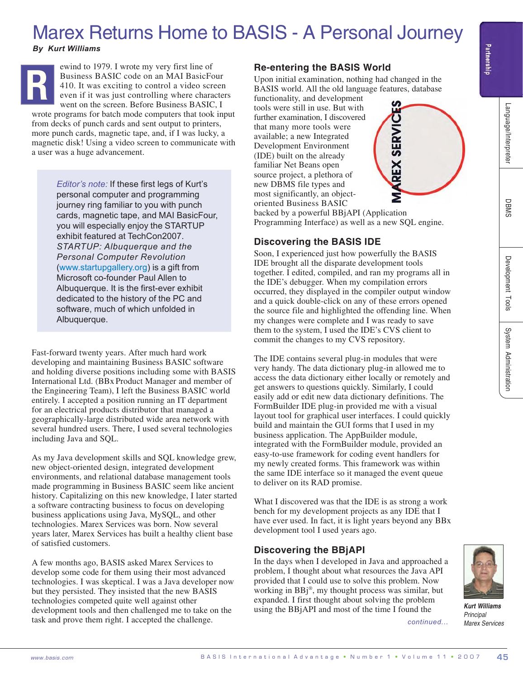# Marex Returns Home to BASIS - A Personal Journey

*By Kurt Williams*



ewind to 1979. I wrote my very first line of Business BASIC code on an MAI BasicFour 410. It was exciting to control a video screen even if it was just controlling where characters went on the screen. Before Business BASIC, I

wrote programs for batch mode computers that took input from decks of punch cards and sent output to printers, more punch cards, magnetic tape, and, if I was lucky, a magnetic disk! Using a video screen to communicate with a user was a huge advancement.

> *Editor's note:* If these first legs of Kurt's personal computer and programming journey ring familiar to you with punch cards, magnetic tape, and MAI BasicFour, you will especially enjoy the STARTUP exhibit featured at TechCon2007. *STARTUP: Albuquerque and the Personal Computer Revolution* (www.startupgallery.org) is a gift from Microsoft co-founder Paul Allen to Albuquerque. It is the first-ever exhibit dedicated to the history of the PC and software, much of which unfolded in Albuquerque.

Fast-forward twenty years. After much hard work developing and maintaining Business BASIC software and holding diverse positions including some with BASIS International Ltd. (BBx Product Manager and member of the Engineering Team), I left the Business BASIC world entirely. I accepted a position running an IT department for an electrical products distributor that managed a geographically-large distributed wide area network with several hundred users. There, I used several technologies including Java and SQL.

As my Java development skills and SQL knowledge grew, new object-oriented design, integrated development environments, and relational database management tools made programming in Business BASIC seem like ancient history. Capitalizing on this new knowledge, I later started a software contracting business to focus on developing business applications using Java, MySQL, and other technologies. Marex Services was born. Now several years later, Marex Services has built a healthy client base of satisfied customers.

A few months ago, BASIS asked Marex Services to develop some code for them using their most advanced technologies. I was skeptical. I was a Java developer now but they persisted. They insisted that the new BASIS technologies competed quite well against other development tools and then challenged me to take on the task and prove them right. I accepted the challenge.

#### **Re-entering the BASIS World**

Upon initial examination, nothing had changed in the BASIS world. All the old language features, database

functionality, and development tools were still in use. But with further examination, I discovered that many more tools were available; a new Integrated Development Environment (IDE) built on the already familiar Net Beans open source project, a plethora of new DBMS file types and most significantly, an objectoriented Business BASIC



backed by a powerful BBjAPI (Application Programming Interface) as well as a new SQL engine.

## **Discovering the BASIS IDE**

Soon, I experienced just how powerfully the BASIS IDE brought all the disparate development tools together. I edited, compiled, and ran my programs all in the IDE's debugger. When my compilation errors occurred, they displayed in the compiler output window and a quick double-click on any of these errors opened the source file and highlighted the offending line. When my changes were complete and I was ready to save them to the system, I used the IDE's CVS client to commit the changes to my CVS repository.

By Earth William Street of the reduction of the reduction of the reduction of the reduction of the reduction of the reduction of the reduction of the reduction of the reduction of the reduction of the reduction of the red The IDE contains several plug-in modules that were very handy. The data dictionary plug-in allowed me to access the data dictionary either locally or remotely and get answers to questions quickly. Similarly, I could easily add or edit new data dictionary definitions. The FormBuilder IDE plug-in provided me with a visual layout tool for graphical user interfaces. I could quickly build and maintain the GUI forms that I used in my business application. The AppBuilder module, integrated with the FormBuilder module, provided an easy-to-use framework for coding event handlers for my newly created forms. This framework was within the same IDE interface so it managed the event queue to deliver on its RAD promise.

What I discovered was that the IDE is as strong a work bench for my development projects as any IDE that I have ever used. In fact, it is light years beyond any BBx development tool I used years ago.

### **Discovering the BBjAPI**

In the days when I developed in Java and approached a problem, I thought about what resources the Java API provided that I could use to solve this problem. Now working in BBj®, my thought process was similar, but expanded. I first thought about solving the problem using the BBjAPI and most of the time I found the

*continued...*



*Kurt Williams Principal Marex Services*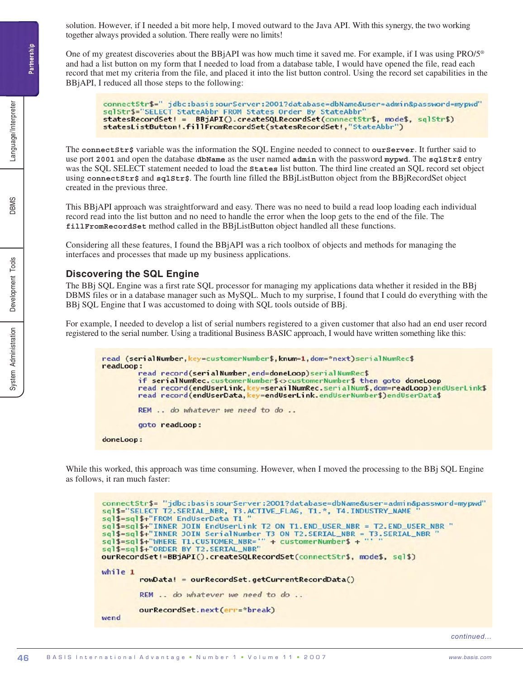solution. However, if I needed a bit more help, I moved outward to the Java API. With this synergy, the two working together always provided a solution. There really were no limits!

One of my greatest discoveries about the BBjAPI was how much time it saved me. For example, if I was using PRO/5® and had a list button on my form that I needed to load from a database table, I would have opened the file, read each record that met my criteria from the file, and placed it into the list button control. Using the record set capabilities in the BBjAPI, I reduced all those steps to the following:

```
connectStr$=" jdbc:basis:ourServer:2001?database=dbName&user=admin&password=mypwd"<br>sqlStr$="SELECT StateAbbr FROM States Order By StateAbbr"
statesRecordSet! = BBjAPI().createSQLRecordSet(connectStr$, mode$, sqlStr$)
statesListButton!.fillFromRecordSet(statesRecordSet!,"StateAbbr")
```
The **connectStr\$** variable was the information the SQL Engine needed to connect to **ourServer**. It further said to use port 2001 and open the database dbName as the user named admin with the password mypwd. The sqlStr\$ entry was the SQL SELECT statement needed to load the **States** list button. The third line created an SQL record set object using **connectStr\$** and **sqlStr\$**. The fourth line filled the BBjListButton object from the BBjRecordSet object created in the previous three.

This BBjAPI approach was straightforward and easy. There was no need to build a read loop loading each individual record read into the list button and no need to handle the error when the loop gets to the end of the file. The **fillFromRecordSet** method called in the BBjListButton object handled all these functions.

Considering all these features, I found the BBjAPI was a rich toolbox of objects and methods for managing the interfaces and processes that made up my business applications.

#### **Discovering the SQL Engine**

The BBj SQL Engine was a first rate SQL processor for managing my applications data whether it resided in the BBj DBMS files or in a database manager such as MySQL. Much to my surprise, I found that I could do everything with the BBj SQL Engine that I was accustomed to doing with SQL tools outside of BBj.

For example, I needed to develop a list of serial numbers registered to a given customer that also had an end user record registered to the serial number. Using a traditional Business BASIC approach, I would have written something like this:

```
read (serialNumber, key=customerNumber$, knum=1, dom=*next)serialNumRec$
readLoop:
        read record(serialNumber, end=doneLoop)serialNumRec$
        if serialNumRec.customerNumber$<>customerNumber$ then goto doneLoop
        read record(endUserLink, key=serailNumRec.serialNum$, dom=readLoop)endUserLink$
        read record(endUserData, key=endUserLink.endUserNumber$)endUserData$
        REM .. do whatever we need to do ..
        goto readLoop:
doneLoop:
```
While this worked, this approach was time consuming. However, when I moved the processing to the BBj SQL Engine as follows, it ran much faster:

connectStr\$="jdbc:basis:ourServer:2001?database=dbName&user=admin&password=mypwd" sql\$="SELECT T2.SERIAL\_NBR, T3.ACTIVE\_FLAG, T1.\*, T4.INDUSTRY\_NAME<br>sql\$=sql\$+"FROM EndUserData T1 " sql\$=sql\$+"INNER JOIN EndUserLink T2 ON T1.END\_USER\_NBR = T2.END\_USER\_NBR "  $sq13 = sq13 + 1$  Times JOIN Englisher (2 ON 11.END\_USER\_NBR = 12.END\_USER\_NBR sql \$=sql \$+"INNER JOIN Serial Number T3 ON T2.SERIAL\_NBR = T3.SERIAL\_NBR sql \$=sql \$+"INNER T3 OR T2. SERIAL\_NBR = T3.SERIAL\_NBR sql \$=sql \$+"' m sql\$=sql\$+"ORDER BY T2.SERIAL\_NBR" ourRecordSet!=BBjAPI().createSQLRecordSet(connectStr\$, mode\$, sql\$) while 1 rowData! = ourRecordSet.getCurrentRecordData() REM .. do whatever we need to do .. ourRecordSet.next(err=\*break) wend

*continued...*